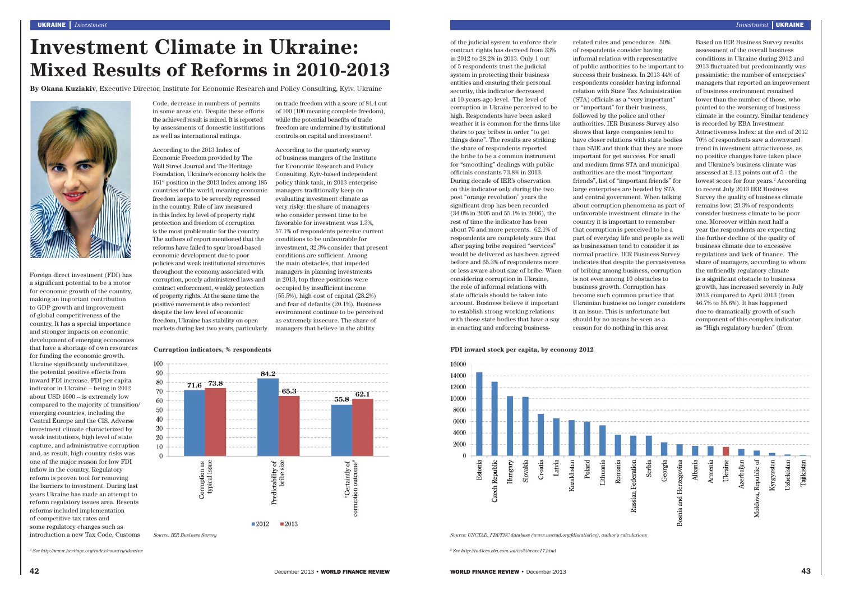## **FDI inward stock per capita, by economy 2012**



*Source: UNCTAD, FDI/TNC database (www.unctad.org/fdistatistics), author's calculations*

of the judicial system to enforce their contract rights has decreed from 33% in 2012 to 28.2% in 2013. Only 1 out of 5 respondents trust the judicial system in protecting their business entities and ensuring their personal security, this indicator decreased at 10-years-ago level. The level of corruption in Ukraine perceived to be high. Respondents have been asked weather it is common for the firms like theirs to pay bribes in order "to get things done". The results are striking: the share of respondents reported the bribe to be a common instrument for "smoothing" dealings with public officials constants 73.8% in 2013. During decade of IER's observation on this indicator only during the two post "orange revolution" years the significant drop has been recorded (34.0% in 2005 and 55.1% in 2006), the rest of time the indicator has been about 70 and more percents. 62.1% of respondents are completely sure that after paying bribe required "services" would be delivered as has been agreed before and 65.3% of respondents more or less aware about size of bribe. When considering corruption in Ukraine, the role of informal relations with state officials should be taken into account. Business believe it important to establish strong working relations with those state bodies that have a say in enacting and enforcing business-

on trade freedom with a score of 84.4 out of 100 (100 meaning complete freedom), while the potential benefits of trade freedom are undermined by institutional controls on capital and investment<sup>1</sup>.

development of emerging economies that have a shortage of own resources for funding the economic growth. Ukraine significantly underutilizes the potential positive effects from inward FDI increase. FDI per capita indicator in Ukraine -- being in 2012 about USD 1600 -- is extremely low compared to the majority of transition/ emerging countries, including the Central Europe and the CIS. Adverse investment climate characterized by weak institutions, high level of state capture, and administrative corruption and, as result, high country risks was one of the major reason for low FDI inflow in the country. Regulatory reform is proven tool for removing the barriers to investment. During last years Ukraine has made an attempt to reform regulatory issues area. Resents reforms included implementation of competitive tax rates and some regulatory changes such as introduction a new Tax Code, Customs Code, decrease in numbers of permits in some areas etc. Despite these efforts the achieved result is mixed. It is reported by assessments of domestic institutions as well as international ratings.

According to the 2013 Index of Economic Freedom provided by The Wall Street Journal and The Heritage Foundation, Ukraine's economy holds the 161st position in the 2013 Index among 185 countries of the world, meaning economic freedom keeps to be severely repressed in the country. Rule of law measured in this Index by level of property right protection and freedom of corruption is the most problematic for the country. The authors of report mentioned that the reforms have failed to spur broad-based economic development due to poor policies and weak institutional structures throughout the economy associated with corruption, poorly administered laws and contract enforcement, weakly protection of property rights. At the same time the positive movement is also recorded: despite the low level of economic freedom, Ukraine has stability on open markets during last two years, particularly managers that believe in the ability

According to the quarterly survey of business mangers of the Institute for Economic Research and Policy Consulting, Kyiv-based independent policy think tank, in 2013 enterprise managers traditionally keep on evaluating investment climate as very risky: the share of managers who consider present time to be favorable for investment was 1.3%, 57.1% of respondents perceive current conditions to be unfavorable for investment, 32.3% consider that present conditions are sufficient. Among the main obstacles, that impeded managers in planning investments in 2013, top three positions were occupied by insufficient income (55.5%), high cost of capital (28.2%) and fear of defaults (20.1%). Business environment continue to be perceived as extremely insecure. The share of

Investment Climate in Ukraine:<br>
and Results of Reforms in 2010-2013<br>
and the contract of the contract of the contract of the contract of the contract of the contract of the contract of the contract of the contract of the c

**By Okana Kuziakiv**, Executive Director, Institute for Economic Research and Policy Consulting, Kyiv, Ukraine



*1 See http://www.heritage.org/index/country/ukraine 2 See http://indices.eba.com.ua/en/ii/wave17.html*

**Curruption indicators, % respondents**